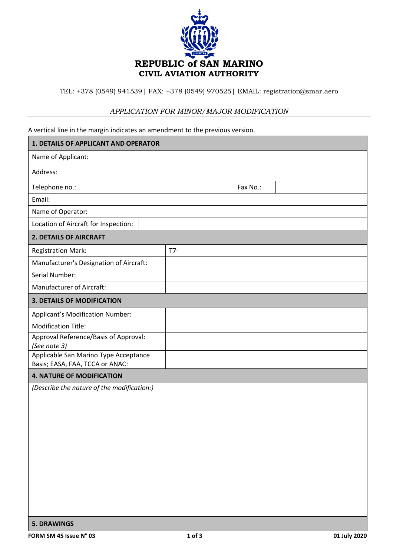

TEL: +378 (0549) 941539| FAX: +378 (0549) 970525| EMAIL: registration@smar.aero

## *APPLICATION FOR MINOR/MAJOR MODIFICATION*

A vertical line in the margin indicates an amendment to the previous version.

| 1. DETAILS OF APPLICANT AND OPERATOR                                     |  |       |          |  |  |  |  |
|--------------------------------------------------------------------------|--|-------|----------|--|--|--|--|
| Name of Applicant:                                                       |  |       |          |  |  |  |  |
| Address:                                                                 |  |       |          |  |  |  |  |
| Telephone no.:                                                           |  |       | Fax No.: |  |  |  |  |
| Email:                                                                   |  |       |          |  |  |  |  |
| Name of Operator:                                                        |  |       |          |  |  |  |  |
| Location of Aircraft for Inspection:                                     |  |       |          |  |  |  |  |
| <b>2. DETAILS OF AIRCRAFT</b>                                            |  |       |          |  |  |  |  |
| <b>Registration Mark:</b>                                                |  | $T7-$ |          |  |  |  |  |
| Manufacturer's Designation of Aircraft:                                  |  |       |          |  |  |  |  |
| Serial Number:                                                           |  |       |          |  |  |  |  |
| <b>Manufacturer of Aircraft:</b>                                         |  |       |          |  |  |  |  |
| <b>3. DETAILS OF MODIFICATION</b>                                        |  |       |          |  |  |  |  |
| Applicant's Modification Number:                                         |  |       |          |  |  |  |  |
| <b>Modification Title:</b>                                               |  |       |          |  |  |  |  |
| Approval Reference/Basis of Approval:<br>(See note 3)                    |  |       |          |  |  |  |  |
| Applicable San Marino Type Acceptance<br>Basis; EASA, FAA, TCCA or ANAC: |  |       |          |  |  |  |  |
| <b>4. NATURE OF MODIFICATION</b>                                         |  |       |          |  |  |  |  |
| (Describe the nature of the modification:)                               |  |       |          |  |  |  |  |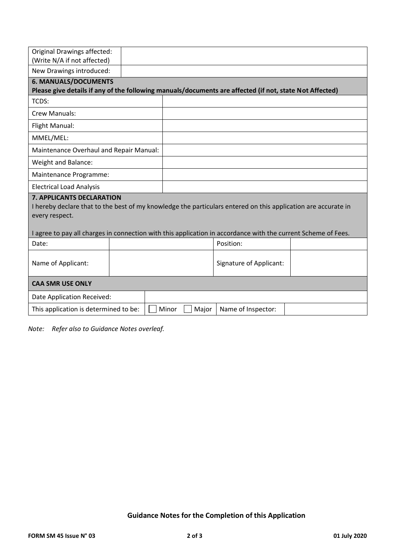| <b>Original Drawings affected:</b><br>(Write N/A if not affected)                                                                                                   |  |  |  |       |                                |  |  |  |
|---------------------------------------------------------------------------------------------------------------------------------------------------------------------|--|--|--|-------|--------------------------------|--|--|--|
| New Drawings introduced:                                                                                                                                            |  |  |  |       |                                |  |  |  |
| <b>6. MANUALS/DOCUMENTS</b><br>Please give details if any of the following manuals/documents are affected (if not, state Not Affected)                              |  |  |  |       |                                |  |  |  |
| TCDS:                                                                                                                                                               |  |  |  |       |                                |  |  |  |
| Crew Manuals:                                                                                                                                                       |  |  |  |       |                                |  |  |  |
| Flight Manual:                                                                                                                                                      |  |  |  |       |                                |  |  |  |
| MMEL/MEL:                                                                                                                                                           |  |  |  |       |                                |  |  |  |
| Maintenance Overhaul and Repair Manual:                                                                                                                             |  |  |  |       |                                |  |  |  |
| Weight and Balance:                                                                                                                                                 |  |  |  |       |                                |  |  |  |
| Maintenance Programme:                                                                                                                                              |  |  |  |       |                                |  |  |  |
| <b>Electrical Load Analysis</b>                                                                                                                                     |  |  |  |       |                                |  |  |  |
| <b>7. APPLICANTS DECLARATION</b><br>I hereby declare that to the best of my knowledge the particulars entered on this application are accurate in<br>every respect. |  |  |  |       |                                |  |  |  |
| I agree to pay all charges in connection with this application in accordance with the current Scheme of Fees.                                                       |  |  |  |       |                                |  |  |  |
| Date:                                                                                                                                                               |  |  |  |       | Position:                      |  |  |  |
| Name of Applicant:                                                                                                                                                  |  |  |  |       | <b>Signature of Applicant:</b> |  |  |  |
| <b>CAA SMR USE ONLY</b>                                                                                                                                             |  |  |  |       |                                |  |  |  |
| Date Application Received:                                                                                                                                          |  |  |  |       |                                |  |  |  |
| This application is determined to be:<br>Minor                                                                                                                      |  |  |  | Major | Name of Inspector:             |  |  |  |

*Note: Refer also to Guidance Notes overleaf.*